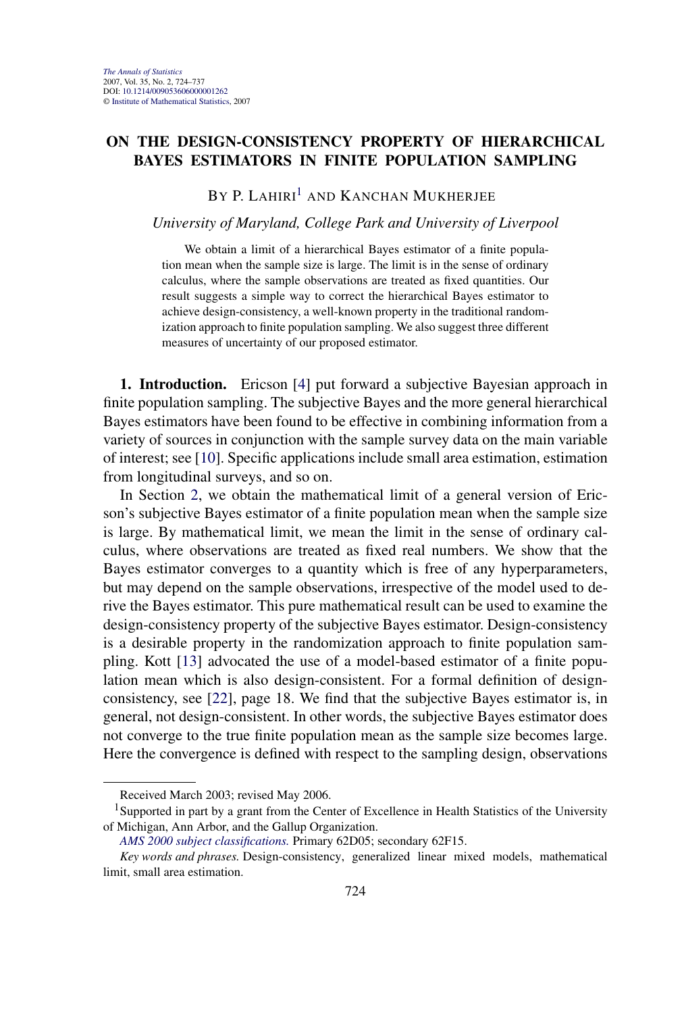## **ON THE DESIGN-CONSISTENCY PROPERTY OF HIERARCHICAL BAYES ESTIMATORS IN FINITE POPULATION SAMPLING**

# $BY$  P. LAHIRI $<sup>1</sup>$  and Kanchan Mukherjee</sup>

#### *University of Maryland, College Park and University of Liverpool*

We obtain a limit of a hierarchical Bayes estimator of a finite population mean when the sample size is large. The limit is in the sense of ordinary calculus, where the sample observations are treated as fixed quantities. Our result suggests a simple way to correct the hierarchical Bayes estimator to achieve design-consistency, a well-known property in the traditional randomization approach to finite population sampling. We also suggest three different measures of uncertainty of our proposed estimator.

**1. Introduction.** Ericson [\[4\]](#page-12-0) put forward a subjective Bayesian approach in finite population sampling. The subjective Bayes and the more general hierarchical Bayes estimators have been found to be effective in combining information from a variety of sources in conjunction with the sample survey data on the main variable of interest; see [\[10\]](#page-12-0). Specific applications include small area estimation, estimation from longitudinal surveys, and so on.

In Section [2,](#page-1-0) we obtain the mathematical limit of a general version of Ericson's subjective Bayes estimator of a finite population mean when the sample size is large. By mathematical limit, we mean the limit in the sense of ordinary calculus, where observations are treated as fixed real numbers. We show that the Bayes estimator converges to a quantity which is free of any hyperparameters, but may depend on the sample observations, irrespective of the model used to derive the Bayes estimator. This pure mathematical result can be used to examine the design-consistency property of the subjective Bayes estimator. Design-consistency is a desirable property in the randomization approach to finite population sampling. Kott [\[13\]](#page-13-0) advocated the use of a model-based estimator of a finite population mean which is also design-consistent. For a formal definition of designconsistency, see [\[22\]](#page-13-0), page 18. We find that the subjective Bayes estimator is, in general, not design-consistent. In other words, the subjective Bayes estimator does not converge to the true finite population mean as the sample size becomes large. Here the convergence is defined with respect to the sampling design, observations

Received March 2003; revised May 2006.

<sup>&</sup>lt;sup>1</sup>Supported in part by a grant from the Center of Excellence in Health Statistics of the University of Michigan, Ann Arbor, and the Gallup Organization.

*[AMS 2000 subject classifications.](http://www.ams.org/msc/)* Primary 62D05; secondary 62F15.

*Key words and phrases.* Design-consistency, generalized linear mixed models, mathematical limit, small area estimation.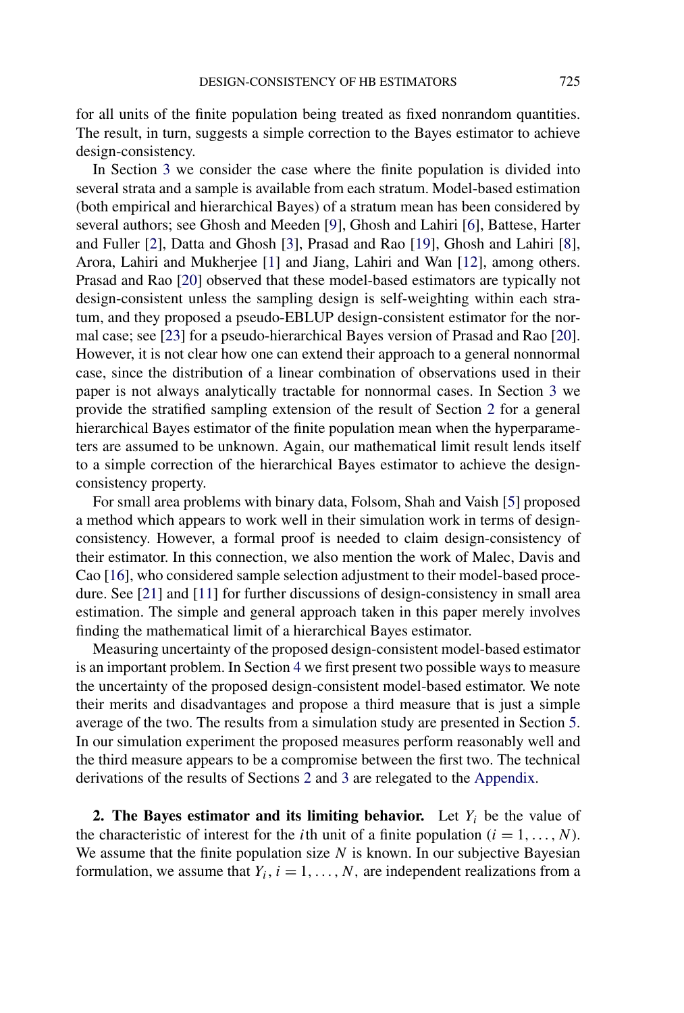<span id="page-1-0"></span>for all units of the finite population being treated as fixed nonrandom quantities. The result, in turn, suggests a simple correction to the Bayes estimator to achieve design-consistency.

In Section [3](#page-3-0) we consider the case where the finite population is divided into several strata and a sample is available from each stratum. Model-based estimation (both empirical and hierarchical Bayes) of a stratum mean has been considered by several authors; see Ghosh and Meeden [\[9\]](#page-12-0), Ghosh and Lahiri [\[6\]](#page-12-0), Battese, Harter and Fuller [\[2\]](#page-12-0), Datta and Ghosh [\[3\]](#page-12-0), Prasad and Rao [\[19\]](#page-13-0), Ghosh and Lahiri [\[8\]](#page-12-0), Arora, Lahiri and Mukherjee [\[1\]](#page-12-0) and Jiang, Lahiri and Wan [\[12\]](#page-12-0), among others. Prasad and Rao [\[20\]](#page-13-0) observed that these model-based estimators are typically not design-consistent unless the sampling design is self-weighting within each stratum, and they proposed a pseudo-EBLUP design-consistent estimator for the normal case; see [\[23\]](#page-13-0) for a pseudo-hierarchical Bayes version of Prasad and Rao [\[20\]](#page-13-0). However, it is not clear how one can extend their approach to a general nonnormal case, since the distribution of a linear combination of observations used in their paper is not always analytically tractable for nonnormal cases. In Section [3](#page-3-0) we provide the stratified sampling extension of the result of Section 2 for a general hierarchical Bayes estimator of the finite population mean when the hyperparameters are assumed to be unknown. Again, our mathematical limit result lends itself to a simple correction of the hierarchical Bayes estimator to achieve the designconsistency property.

For small area problems with binary data, Folsom, Shah and Vaish [\[5\]](#page-12-0) proposed a method which appears to work well in their simulation work in terms of designconsistency. However, a formal proof is needed to claim design-consistency of their estimator. In this connection, we also mention the work of Malec, Davis and Cao [\[16\]](#page-13-0), who considered sample selection adjustment to their model-based procedure. See [\[21\]](#page-13-0) and [\[11\]](#page-12-0) for further discussions of design-consistency in small area estimation. The simple and general approach taken in this paper merely involves finding the mathematical limit of a hierarchical Bayes estimator.

Measuring uncertainty of the proposed design-consistent model-based estimator is an important problem. In Section [4](#page-6-0) we first present two possible ways to measure the uncertainty of the proposed design-consistent model-based estimator. We note their merits and disadvantages and propose a third measure that is just a simple average of the two. The results from a simulation study are presented in Section [5.](#page-7-0) In our simulation experiment the proposed measures perform reasonably well and the third measure appears to be a compromise between the first two. The technical derivations of the results of Sections 2 and [3](#page-3-0) are relegated to the [Appendix.](#page-8-0)

**2. The Bayes estimator and its limiting behavior.** Let  $Y_i$  be the value of the characteristic of interest for the *i*th unit of a finite population  $(i = 1, ..., N)$ . We assume that the finite population size  $N$  is known. In our subjective Bayesian formulation, we assume that  $Y_i$ ,  $i = 1, ..., N$ , are independent realizations from a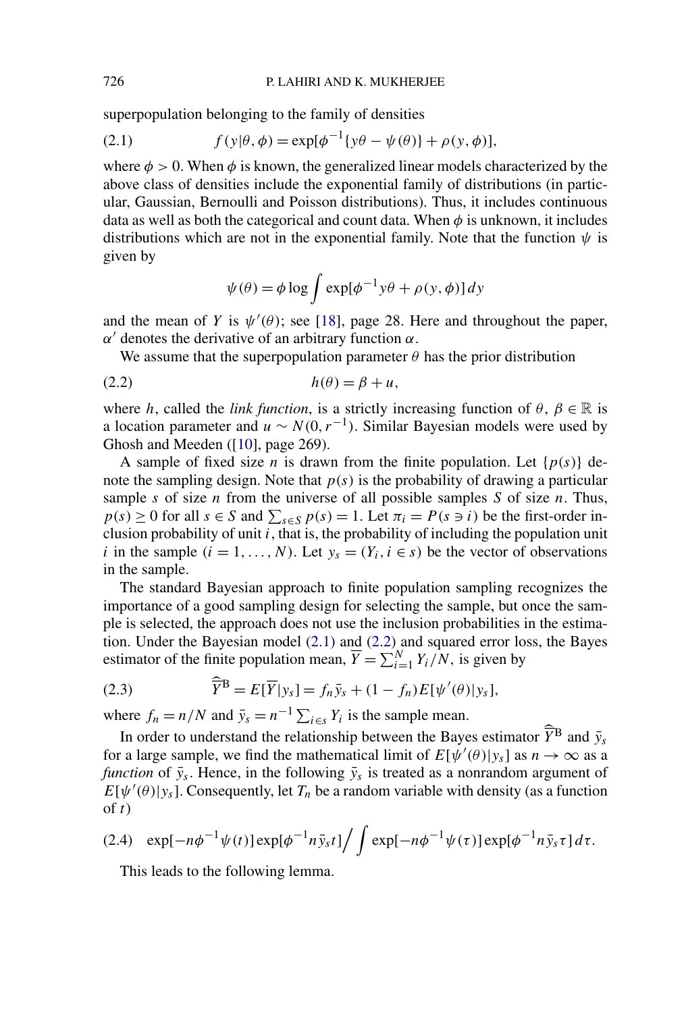<span id="page-2-0"></span>superpopulation belonging to the family of densities

(2.1) 
$$
f(y|\theta, \phi) = \exp[\phi^{-1}\{y\theta - \psi(\theta)\} + \rho(y, \phi)],
$$

where  $\phi > 0$ . When  $\phi$  is known, the generalized linear models characterized by the above class of densities include the exponential family of distributions (in particular, Gaussian, Bernoulli and Poisson distributions). Thus, it includes continuous data as well as both the categorical and count data. When  $\phi$  is unknown, it includes distributions which are not in the exponential family. Note that the function *ψ* is given by

$$
\psi(\theta) = \phi \log \int \exp[\phi^{-1} y \theta + \rho(y, \phi)] dy
$$

and the mean of *Y* is  $\psi'(\theta)$ ; see [\[18\]](#page-13-0), page 28. Here and throughout the paper, *α*<sup> $\alpha$ </sup> denotes the derivative of an arbitrary function *α*.

We assume that the superpopulation parameter  $\theta$  has the prior distribution

$$
(2.2) \t\t\t h(\theta) = \beta + u,
$$

where *h*, called the *link function*, is a strictly increasing function of  $\theta$ ,  $\beta \in \mathbb{R}$  is a location parameter and  $u \sim N(0, r^{-1})$ . Similar Bayesian models were used by Ghosh and Meeden ([\[10\]](#page-12-0), page 269).

A sample of fixed size *n* is drawn from the finite population. Let  $\{p(s)\}\$ denote the sampling design. Note that  $p(s)$  is the probability of drawing a particular sample *s* of size *n* from the universe of all possible samples *S* of size *n*. Thus,  $p(s) \ge 0$  for all  $s \in S$  and  $\sum_{s \in S} p(s) = 1$ . Let  $\pi_i = P(s \ni i)$  be the first-order inclusion probability of unit  $\overline{i}$ , that is, the probability of including the population unit *i* in the sample  $(i = 1, ..., N)$ . Let  $y_s = (Y_i, i \in s)$  be the vector of observations in the sample.

The standard Bayesian approach to finite population sampling recognizes the importance of a good sampling design for selecting the sample, but once the sample is selected, the approach does not use the inclusion probabilities in the estimation. Under the Bayesian model (2.1) and (2.2) and squared error loss, the Bayes estimator of the finite population mean,  $\overline{Y} = \sum_{i=1}^{N} Y_i/N$ , is given by

(2.3) 
$$
\widehat{\overline{Y}}^{\mathbf{B}} = E[\overline{Y}|y_s] = f_n \overline{y}_s + (1 - f_n)E[\psi'(\theta)|y_s],
$$

where  $f_n = n/N$  and  $\bar{y}_s = n^{-1} \sum_{i \in S} Y_i$  is the sample mean.

In order to understand the relationship between the Bayes estimator  $\widehat{Y}^{\text{B}}$  and  $\bar{y}_s$ for a large sample, we find the mathematical limit of  $E[\psi'(\theta)|y_s]$  as  $n \to \infty$  as a *function* of  $\bar{y}_s$ . Hence, in the following  $\bar{y}_s$  is treated as a nonrandom argument of  $E[\psi'(\theta)|y_s]$ . Consequently, let  $T_n$  be a random variable with density (as a function of *t*)

$$
(2.4) \exp[-n\phi^{-1}\psi(t)]\exp[\phi^{-1}n\bar{y}_s t]\Big/\int \exp[-n\phi^{-1}\psi(\tau)]\exp[\phi^{-1}n\bar{y}_s\tau]d\tau.
$$

This leads to the following lemma.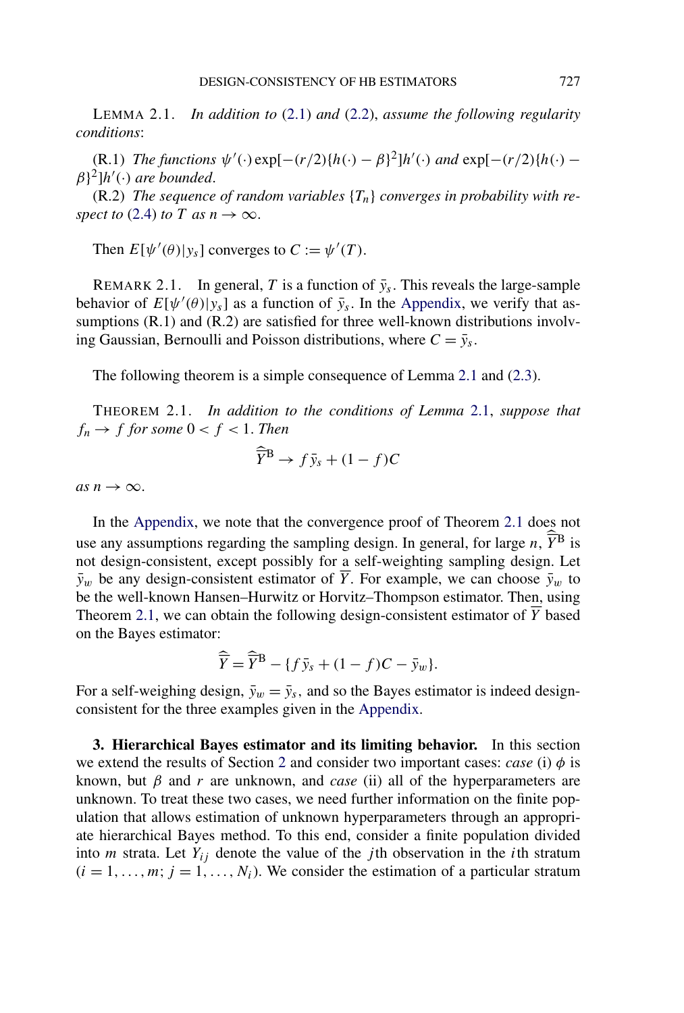<span id="page-3-0"></span>LEMMA 2.1. *In addition to* [\(2.1\)](#page-2-0) *and* [\(2.2\)](#page-2-0), *assume the following regularity conditions*:

 $(\text{R.1})$  *The functions*  $\psi'(\cdot) \exp[-(r/2)\{h(\cdot) - \beta\}^2]h'(\cdot)$  *and*  $\exp[-(r/2)\{h(\cdot) - \beta\}^2]$ *β*}2]*h (*·*) are bounded*.

(R.2) *The sequence of random variables* {*Tn*} *converges in probability with respect to* [\(2.4\)](#page-2-0) *to T as*  $n \rightarrow \infty$ .

Then  $E[\psi'(\theta)|y_s]$  converges to  $C := \psi'(T)$ .

REMARK 2.1. In general, *T* is a function of  $\bar{y}_s$ . This reveals the large-sample behavior of  $E[\psi'(\theta)|y_s]$  as a function of  $\bar{y}_s$ . In the [Appendix,](#page-8-0) we verify that assumptions (R.1) and (R.2) are satisfied for three well-known distributions involving Gaussian, Bernoulli and Poisson distributions, where  $C = \bar{y}_s$ .

The following theorem is a simple consequence of Lemma 2.1 and [\(2.3\)](#page-2-0).

THEOREM 2.1. *In addition to the conditions of Lemma* 2.1, *suppose that*  $f_n \to f$  *for some*  $0 < f < 1$ . *Then* 

$$
\widehat{\overline{Y}}^{\mathbf{B}} \to f \bar{y}_s + (1 - f)C
$$

 $as n \rightarrow \infty$ .

In the [Appendix,](#page-8-0) we note that the convergence proof of Theorem 2.1 does not use any assumptions regarding the sampling design. In general, for large  $n$ ,  $\widehat{Y}^{\text{B}}$  is not design-consistent, except possibly for a self-weighting sampling design. Let  $\bar{y}_w$  be any design-consistent estimator of  $\bar{Y}$ . For example, we can choose  $\bar{y}_w$  to be the well-known Hansen–Hurwitz or Horvitz–Thompson estimator. Then, using Theorem 2.1, we can obtain the following design-consistent estimator of  $\overline{Y}$  based on the Bayes estimator:

$$
\widehat{\overline{Y}} = \widehat{\overline{Y}}^{\mathbf{B}} - \{ f \overline{y}_s + (1 - f)C - \overline{y}_w \}.
$$

For a self-weighing design,  $\bar{y}_w = \bar{y}_s$ , and so the Bayes estimator is indeed designconsistent for the three examples given in the [Appendix.](#page-8-0)

**3. Hierarchical Bayes estimator and its limiting behavior.** In this section we extend the results of Section [2](#page-1-0) and consider two important cases: *case* (i)  $\phi$  is known, but  $\beta$  and  $r$  are unknown, and *case* (ii) all of the hyperparameters are unknown. To treat these two cases, we need further information on the finite population that allows estimation of unknown hyperparameters through an appropriate hierarchical Bayes method. To this end, consider a finite population divided into *m* strata. Let  $Y_{ij}$  denote the value of the *j*th observation in the *i*th stratum  $(i = 1, \ldots, m; j = 1, \ldots, N_i)$ . We consider the estimation of a particular stratum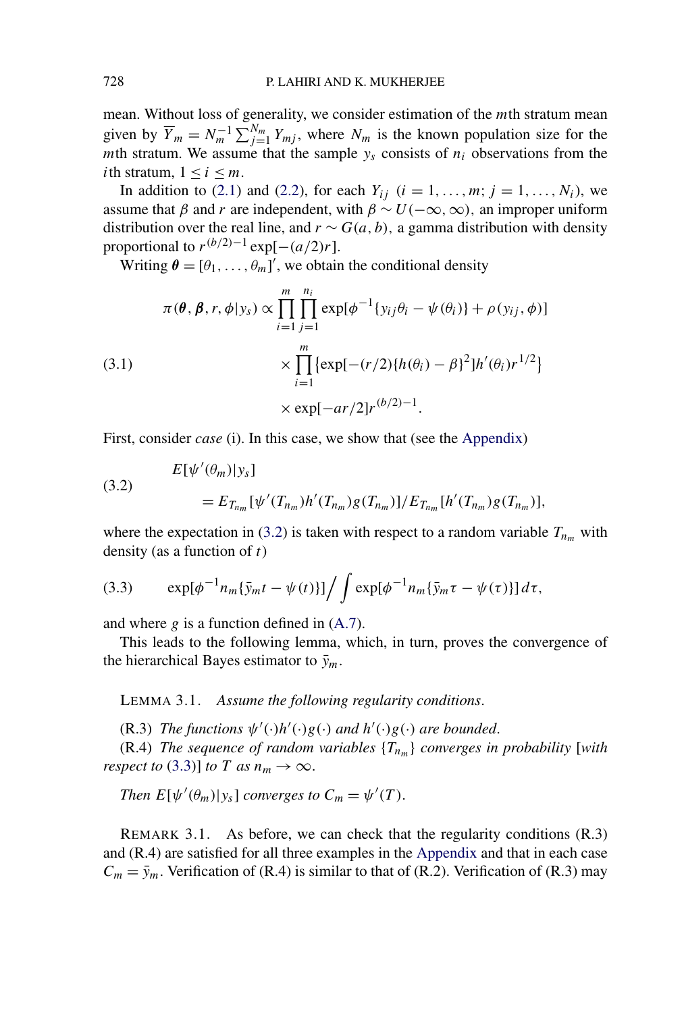<span id="page-4-0"></span>mean. Without loss of generality, we consider estimation of the *m*th stratum mean given by  $\overline{Y}_m = N_m^{-1} \sum_{j=1}^{N_m} Y_{mj}$ , where  $N_m$  is the known population size for the *m*th stratum. We assume that the sample  $y_s$  consists of  $n_i$  observations from the *i*th stratum,  $1 \le i \le m$ .

In addition to [\(2.1\)](#page-2-0) and [\(2.2\)](#page-2-0), for each  $Y_{ij}$  ( $i = 1, ..., m; j = 1, ..., N_i$ ), we assume that *β* and *r* are independent, with  $\beta \sim U(-\infty, \infty)$ , an improper uniform distribution over the real line, and  $r \sim G(a, b)$ , a gamma distribution with density proportional to  $r^{(b/2)-1}$  exp[ $-(a/2)r$ ].

Writing  $\boldsymbol{\theta} = [\theta_1, \dots, \theta_m]'$ , we obtain the conditional density

(3.1)  
\n
$$
\pi(\theta, \beta, r, \phi | y_s) \propto \prod_{i=1}^{m} \prod_{j=1}^{n_i} \exp[\phi^{-1} \{y_{ij}\theta_i - \psi(\theta_i)\} + \rho(y_{ij}, \phi)]
$$
\n
$$
\times \prod_{i=1}^{m} \{ \exp[-(r/2)\{h(\theta_i) - \beta\}^2]h'(\theta_i)r^{1/2} \}
$$
\n
$$
\times \exp[-ar/2]r^{(b/2)-1}.
$$

First, consider *case* (i). In this case, we show that (see the [Appendix\)](#page-8-0)

(3.2) 
$$
E[\psi'(\theta_m)|y_s] = E_{T_{n_m}}[\psi'(T_{n_m})h'(T_{n_m})g(T_{n_m})]/E_{T_{n_m}}[h'(T_{n_m})g(T_{n_m})],
$$

where the expectation in (3.2) is taken with respect to a random variable  $T_{n_m}$  with density (as a function of *t*)

$$
(3.3) \qquad \exp[\phi^{-1}n_m\{\bar{y}_m t - \psi(t)\}]\Big/\int \exp[\phi^{-1}n_m\{\bar{y}_m \tau - \psi(\tau)\}]\,d\tau,
$$

and where *g* is a function defined in [\(A.7\)](#page-10-0).

This leads to the following lemma, which, in turn, proves the convergence of the hierarchical Bayes estimator to  $\bar{y}_m$ .

LEMMA 3.1. *Assume the following regularity conditions*.

(R.3) *The functions*  $\psi'(\cdot)h'(\cdot)g(\cdot)$  *and*  $h'(\cdot)g(\cdot)$  *are bounded.* 

(R.4) *The sequence of random variables*  ${T_{n_m}}$  *converges in probability* [with *respect to* (3.3)] *to T* as  $n_m \to \infty$ .

*Then*  $E[\psi'(\theta_m)|y_s]$  *converges to*  $C_m = \psi'(T)$ .

REMARK 3.1. As before, we can check that the regularity conditions (R.3) and (R.4) are satisfied for all three examples in the [Appendix](#page-8-0) and that in each case  $C_m = \bar{y}_m$ . Verification of (R.4) is similar to that of (R.2). Verification of (R.3) may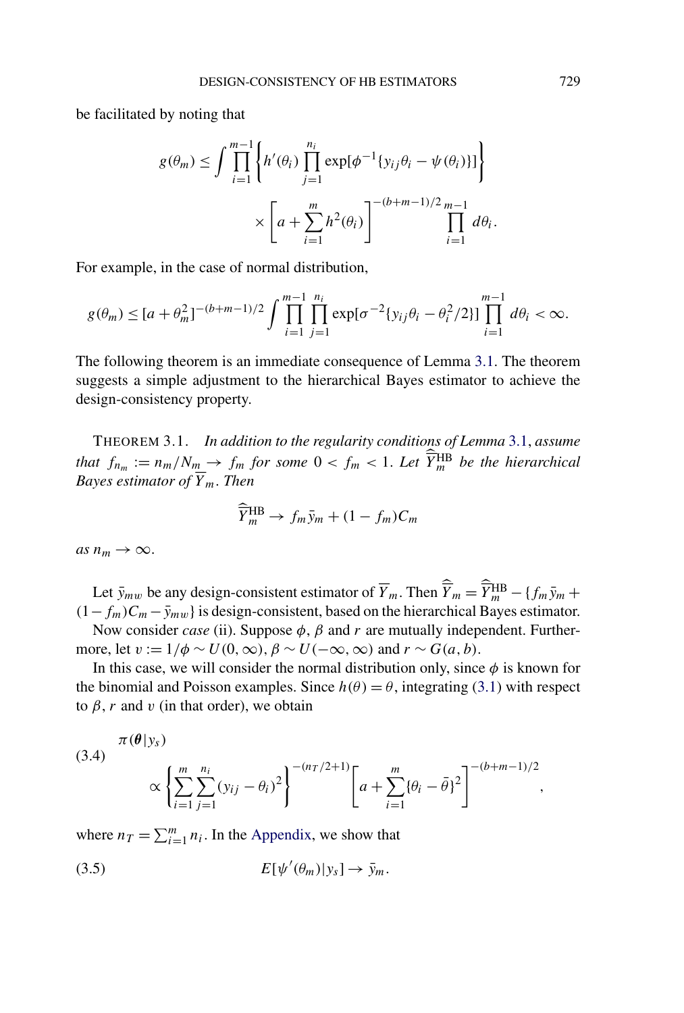<span id="page-5-0"></span>be facilitated by noting that

$$
g(\theta_m) \le \int \prod_{i=1}^{m-1} \left\{ h'(\theta_i) \prod_{j=1}^{n_i} \exp[\phi^{-1} \{y_{ij}\theta_i - \psi(\theta_i)\}] \right\}
$$

$$
\times \left[ a + \sum_{i=1}^m h^2(\theta_i) \right]^{-(b+m-1)/2} \prod_{i=1}^{m-1} d\theta_i.
$$

For example, in the case of normal distribution,

$$
g(\theta_m) \leq [a+\theta_m^2]^{-(b+m-1)/2} \int \prod_{i=1}^{m-1} \prod_{j=1}^{n_i} \exp[\sigma^{-2}{y_{ij}\theta_i - \theta_i^2/2}] \prod_{i=1}^{m-1} d\theta_i < \infty.
$$

The following theorem is an immediate consequence of Lemma [3.1.](#page-4-0) The theorem suggests a simple adjustment to the hierarchical Bayes estimator to achieve the design-consistency property.

THEOREM 3.1. *In addition to the regularity conditions of Lemma* [3.1,](#page-4-0) *assume that*  $f_{n_m} := n_m/N_m \rightarrow f_m$  *for some*  $0 < f_m < 1$ . Let  $\widehat{Y}_m^{\text{HB}}$  *be the hierarchical Bayes estimator of Y m. Then*

$$
\widehat{\overline{Y}}_m^{\text{HB}} \to f_m \bar{y}_m + (1 - f_m)C_m
$$

 $as n_m \rightarrow \infty$ .

Let  $\bar{y}_{mw}$  be any design-consistent estimator of  $\overline{Y}_m$ . Then  $\widehat{\overline{Y}}_m = \widehat{Y}_m^{\text{HB}} - \{f_m\bar{y}_m + f_m\}$  $(1 - f_m)C_m - \bar{y}_{mw}$  is design-consistent, based on the hierarchical Bayes estimator. Now consider *case* (ii). Suppose *φ*, *β* and *r* are mutually independent. Further-

more, let  $v := 1/\phi \sim U(0, \infty)$ ,  $\beta \sim U(-\infty, \infty)$  and  $r \sim G(a, b)$ .

In this case, we will consider the normal distribution only, since  $\phi$  is known for the binomial and Poisson examples. Since  $h(\theta) = \theta$ , integrating [\(3.1\)](#page-4-0) with respect to  $\beta$ , *r* and *v* (in that order), we obtain

(3.4) 
$$
\pi(\theta|y_s) \propto \left\{ \sum_{i=1}^m \sum_{j=1}^{n_i} (y_{ij} - \theta_i)^2 \right\}^{-(n_T/2+1)} \left[ a + \sum_{i=1}^m \{\theta_i - \bar{\theta}\}^2 \right]^{-(b+m-1)/2},
$$

where  $n_T = \sum_{i=1}^m n_i$ . In the [Appendix,](#page-8-0) we show that

$$
(3.5) \t E[\psi'(\theta_m)|y_s] \to \bar{y}_m.
$$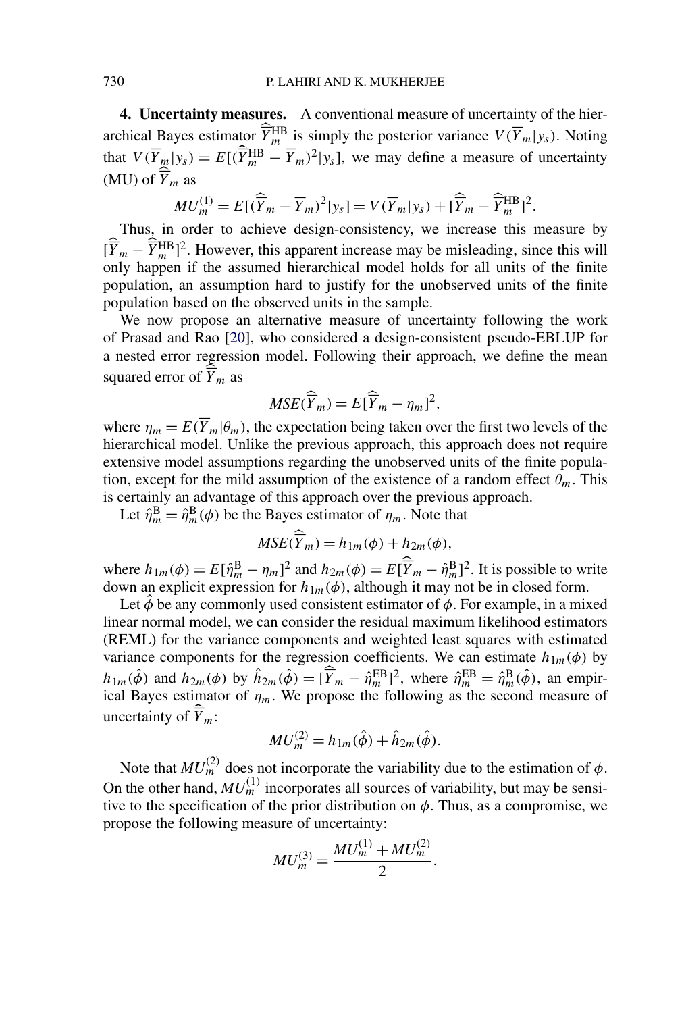<span id="page-6-0"></span>**4. Uncertainty measures.** A conventional measure of uncertainty of the hierarchical Bayes estimator  $\widehat{Y}_m^{\text{HB}}$  is simply the posterior variance  $V(\overline{Y}_m|y_s)$ . Noting that  $V(\overline{Y}_m|y_s) = E[(\widehat{\overline{Y}}_m^{\text{HB}} - \overline{Y}_m)^2|y_s]$ , we may define a measure of uncertainty (MU) of  $\hat{\overline{Y}}_m$  as

$$
MU_m^{(1)} = E[(\widehat{\overline{Y}}_m - \overline{Y}_m)^2 | y_s] = V(\overline{Y}_m | y_s) + [\widehat{\overline{Y}}_m - \widehat{\overline{Y}}_m^{\text{HB}}]^2.
$$

Thus, in order to achieve design-consistency, we increase this measure by  $[\hat{\overline{Y}}_m - \hat{\overline{Y}}_m^{\text{HB}}]^2$ . However, this apparent increase may be misleading, since this will only happen if the assumed hierarchical model holds for all units of the finite population, an assumption hard to justify for the unobserved units of the finite population based on the observed units in the sample.

We now propose an alternative measure of uncertainty following the work of Prasad and Rao [\[20\]](#page-13-0), who considered a design-consistent pseudo-EBLUP for a nested error regression model. Following their approach, we define the mean squared error of  $\widehat{Y}_m$  as

$$
MSE(\widehat{\overline{Y}}_m) = E[\widehat{\overline{Y}}_m - \eta_m]^2,
$$

where  $\eta_m = E(\overline{Y}_m | \theta_m)$ , the expectation being taken over the first two levels of the hierarchical model. Unlike the previous approach, this approach does not require extensive model assumptions regarding the unobserved units of the finite population, except for the mild assumption of the existence of a random effect  $\theta_m$ . This is certainly an advantage of this approach over the previous approach.

Let  $\hat{\eta}_m^{\text{B}} = \hat{\eta}_m^{\text{B}}(\phi)$  be the Bayes estimator of  $\eta_m$ . Note that

$$
MSE(\widehat{\overline{Y}}_m) = h_{1m}(\phi) + h_{2m}(\phi),
$$

where  $h_{1m}(\phi) = E[\hat{\eta}_m^B - \eta_m]^2$  and  $h_{2m}(\phi) = E[\overline{\hat{Y}}_m - \hat{\eta}_m^B]^2$ . It is possible to write down an explicit expression for  $h_{1m}(\phi)$ , although it may not be in closed form.

Let  $\phi$  be any commonly used consistent estimator of  $\phi$ . For example, in a mixed linear normal model, we can consider the residual maximum likelihood estimators (REML) for the variance components and weighted least squares with estimated variance components for the regression coefficients. We can estimate  $h_{1m}(\phi)$  by  $h_{1m}(\hat{\phi})$  and  $h_{2m}(\phi)$  by  $\hat{h}_{2m}(\hat{\phi}) = [\overline{\hat{Y}}_m - \hat{\eta}_m^{\text{EB}}]^2$ , where  $\hat{\eta}_m^{\text{EB}} = \hat{\eta}_m^{\text{B}}(\hat{\phi})$ , an empirical Bayes estimator of  $\eta_m$ . We propose the following as the second measure of uncertainty of  $\widehat{Y}_m$ :

$$
MU_m^{(2)} = h_{1m}(\hat{\phi}) + \hat{h}_{2m}(\hat{\phi}).
$$

Note that  $MU_m^{(2)}$  does not incorporate the variability due to the estimation of  $\phi$ . On the other hand,  $MU<sub>m</sub><sup>(1)</sup>$  incorporates all sources of variability, but may be sensitive to the specification of the prior distribution on *φ*. Thus, as a compromise, we propose the following measure of uncertainty:

$$
MU_m^{(3)} = \frac{MU_m^{(1)} + MU_m^{(2)}}{2}.
$$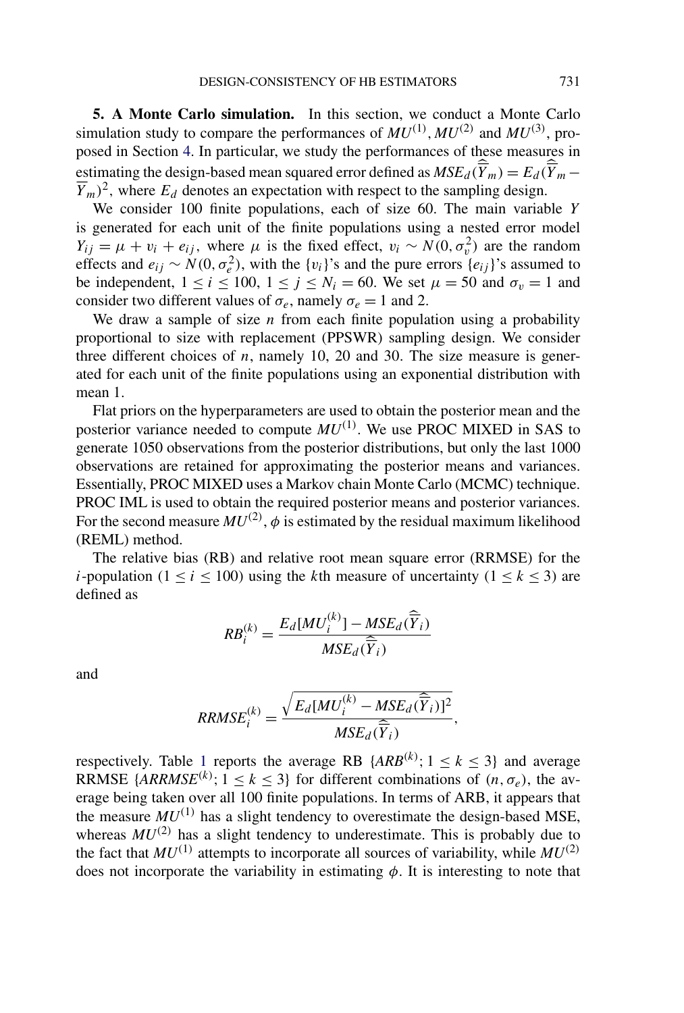<span id="page-7-0"></span>**5. A Monte Carlo simulation.** In this section, we conduct a Monte Carlo simulation study to compare the performances of  $MU^{(1)}$ ,  $MU^{(2)}$  and  $MU^{(3)}$ , proposed in Section [4.](#page-6-0) In particular, we study the performances of these measures in estimating the design-based mean squared error defined as  $MSE_d(\overline{\hat{Y}}_m) = E_d(\overline{\hat{Y}}_m \overline{Y}_m$ )<sup>2</sup>, where  $E_d$  denotes an expectation with respect to the sampling design.

We consider 100 finite populations, each of size 60. The main variable *Y* is generated for each unit of the finite populations using a nested error model *Y<sub>ij</sub>* =  $\mu$  + *v<sub>i</sub>* + *e<sub>ij</sub>*, where  $\mu$  is the fixed effect, *v<sub>i</sub>* ~ *N*(0*,*  $\sigma_v^2$ *)* are the random effects and  $e_{ij} \sim N(0, \sigma_e^2)$ , with the {*v<sub>i</sub>*}'s and the pure errors { $e_{ij}$ }'s assumed to be independent,  $1 \le i \le 100$ ,  $1 \le j \le N_i = 60$ . We set  $\mu = 50$  and  $\sigma_v = 1$  and consider two different values of  $\sigma_e$ , namely  $\sigma_e = 1$  and 2.

We draw a sample of size  $n$  from each finite population using a probability proportional to size with replacement (PPSWR) sampling design. We consider three different choices of *n*, namely 10, 20 and 30*.* The size measure is generated for each unit of the finite populations using an exponential distribution with mean 1.

Flat priors on the hyperparameters are used to obtain the posterior mean and the posterior variance needed to compute *MU(*1*)* . We use PROC MIXED in SAS to generate 1050 observations from the posterior distributions, but only the last 1000 observations are retained for approximating the posterior means and variances. Essentially, PROC MIXED uses a Markov chain Monte Carlo (MCMC) technique. PROC IML is used to obtain the required posterior means and posterior variances. For the second measure  $MU^{(2)}$ ,  $\phi$  is estimated by the residual maximum likelihood (REML) method.

The relative bias (RB) and relative root mean square error (RRMSE) for the *i*-population ( $1 < i < 100$ ) using the *k*th measure of uncertainty ( $1 < k < 3$ ) are defined as

$$
RB_i^{(k)} = \frac{E_d[MU_i^{(k)}] - MSE_d(\widehat{\overline{Y}}_i)}{MSE_d(\widehat{\overline{Y}}_i)}
$$

and

$$
RRMSE_i^{(k)} = \frac{\sqrt{E_d[MU_i^{(k)} - MSE_d(\widehat{\overline{Y}}_i)]^2}}{MSE_d(\widehat{\overline{Y}}_i)},
$$

respectively. Table [1](#page-8-0) reports the average RB  $\{ARB^{(k)}; 1 \leq k \leq 3\}$  and average RRMSE {*ARRMSE*<sup>(k)</sup>;  $1 \le k \le 3$ } for different combinations of  $(n, \sigma_e)$ , the average being taken over all 100 finite populations. In terms of ARB, it appears that the measure  $MU^{(1)}$  has a slight tendency to overestimate the design-based MSE, whereas  $MU^{(2)}$  has a slight tendency to underestimate. This is probably due to the fact that  $MU^{(1)}$  attempts to incorporate all sources of variability, while  $MU^{(2)}$ does not incorporate the variability in estimating  $\phi$ . It is interesting to note that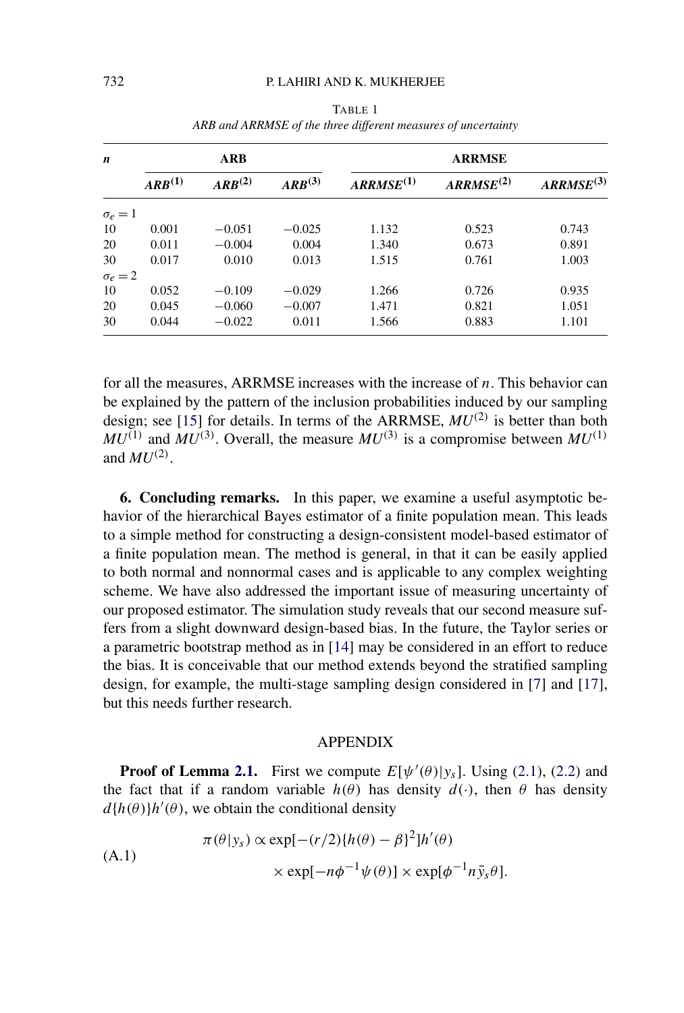<span id="page-8-0"></span>

| $\boldsymbol{n}$ | <b>ARB</b>  |             |             | <b>ARRMSE</b>  |                |                |
|------------------|-------------|-------------|-------------|----------------|----------------|----------------|
|                  | $ARB^{(1)}$ | $ARB^{(2)}$ | $ARB^{(3)}$ | $ARRMSE^{(1)}$ | $ARRMSE^{(2)}$ | $ARRMSE^{(3)}$ |
| $\sigma_e = 1$   |             |             |             |                |                |                |
| 10               | 0.001       | $-0.051$    | $-0.025$    | 1.132          | 0.523          | 0.743          |
| 20               | 0.011       | $-0.004$    | 0.004       | 1.340          | 0.673          | 0.891          |
| 30               | 0.017       | 0.010       | 0.013       | 1.515          | 0.761          | 1.003          |
| $\sigma_e = 2$   |             |             |             |                |                |                |
| 10               | 0.052       | $-0.109$    | $-0.029$    | 1.266          | 0.726          | 0.935          |
| 20               | 0.045       | $-0.060$    | $-0.007$    | 1.471          | 0.821          | 1.051          |
| 30               | 0.044       | $-0.022$    | 0.011       | 1.566          | 0.883          | 1.101          |

TABLE 1 *ARB and ARRMSE of the three different measures of uncertainty*

for all the measures, ARRMSE increases with the increase of *n*. This behavior can be explained by the pattern of the inclusion probabilities induced by our sampling design; see [\[15\]](#page-13-0) for details. In terms of the ARRMSE, *MU(*2*)* is better than both  $MU^{(1)}$  and  $MU^{(3)}$ . Overall, the measure  $MU^{(3)}$  is a compromise between  $MU^{(1)}$ and  $MU^{(2)}$ .

**6. Concluding remarks.** In this paper, we examine a useful asymptotic behavior of the hierarchical Bayes estimator of a finite population mean. This leads to a simple method for constructing a design-consistent model-based estimator of a finite population mean. The method is general, in that it can be easily applied to both normal and nonnormal cases and is applicable to any complex weighting scheme. We have also addressed the important issue of measuring uncertainty of our proposed estimator. The simulation study reveals that our second measure suffers from a slight downward design-based bias. In the future, the Taylor series or a parametric bootstrap method as in [\[14\]](#page-13-0) may be considered in an effort to reduce the bias. It is conceivable that our method extends beyond the stratified sampling design, for example, the multi-stage sampling design considered in [\[7\]](#page-12-0) and [\[17\]](#page-13-0), but this needs further research.

### APPENDIX

**Proof of Lemma [2.1.](#page-3-0)** First we compute  $E[\psi'(\theta)|y_s]$ . Using [\(2.1\)](#page-2-0), [\(2.2\)](#page-2-0) and the fact that if a random variable  $h(\theta)$  has density  $d(\cdot)$ , then  $\theta$  has density  $d\{h(\theta)\}$ *h*' $(\theta)$ , we obtain the conditional density

(A.1)  
\n
$$
\pi(\theta|y_s) \propto \exp[-(r/2)\{h(\theta) - \beta\}^2]h'(\theta)
$$
\n
$$
\times \exp[-n\phi^{-1}\psi(\theta)] \times \exp[\phi^{-1}n\bar{y}_s\theta].
$$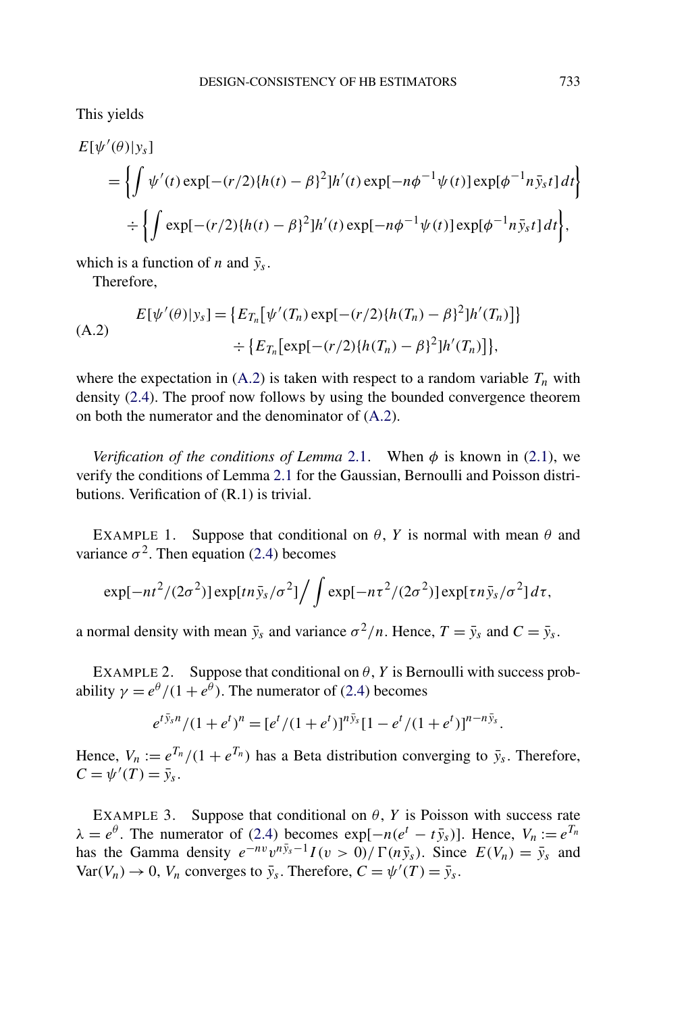This yields

$$
E[\psi'(\theta)|y_s]
$$
  
=  $\left\{ \int \psi'(t) \exp[-(r/2)\{h(t) - \beta\}^2] h'(t) \exp[-n\phi^{-1}\psi(t)] \exp[\phi^{-1}n\bar{y}_s t] dt \right\}$   

$$
\div \left\{ \int \exp[-(r/2)\{h(t) - \beta\}^2] h'(t) \exp[-n\phi^{-1}\psi(t)] \exp[\phi^{-1}n\bar{y}_s t] dt \right\},
$$

which is a function of *n* and  $\bar{y}_s$ .

Therefore,

$$
E[\psi'(\theta)|y_s] = \{E_{T_n}[\psi'(T_n) \exp[-(r/2)\{h(T_n) - \beta\}^2]h'(T_n)]\}
$$
  
 
$$
\div \{E_{T_n}[\exp[-(r/2)\{h(T_n) - \beta\}^2]h'(T_n)]\},\
$$

where the expectation in  $(A.2)$  is taken with respect to a random variable  $T_n$  with density [\(2.4\)](#page-2-0). The proof now follows by using the bounded convergence theorem on both the numerator and the denominator of (A.2).

*Verification of the conditions of Lemma* [2.1.](#page-3-0) When  $\phi$  is known in [\(2.1\)](#page-2-0), we verify the conditions of Lemma [2.1](#page-3-0) for the Gaussian, Bernoulli and Poisson distributions. Verification of (R.1) is trivial.

EXAMPLE 1. Suppose that conditional on  $\theta$ , *Y* is normal with mean  $\theta$  and variance  $\sigma^2$ . Then equation [\(2.4\)](#page-2-0) becomes

$$
\exp[-nt^2/(2\sigma^2)]\exp[tn\bar{y}_s/\sigma^2]\Big/\int \exp[-n\tau^2/(2\sigma^2)]\exp[\tau n\bar{y}_s/\sigma^2]d\tau,
$$

a normal density with mean  $\bar{y}_s$  and variance  $\sigma^2/n$ . Hence,  $T = \bar{y}_s$  and  $C = \bar{y}_s$ .

EXAMPLE 2. Suppose that conditional on  $\theta$ , *Y* is Bernoulli with success probability  $\gamma = e^{\theta} / (1 + e^{\theta})$ . The numerator of [\(2.4\)](#page-2-0) becomes

$$
e^{t\bar{y}_s n}/(1+e^t)^n = [e^t/(1+e^t)]^{n\bar{y}_s} [1-e^t/(1+e^t)]^{n-n\bar{y}_s}.
$$

Hence,  $V_n := e^{T_n} / (1 + e^{T_n})$  has a Beta distribution converging to  $\bar{y}_s$ . Therefore,  $C = \psi'(T) = \bar{y}_s.$ 

EXAMPLE 3. Suppose that conditional on  $\theta$ , *Y* is Poisson with success rate  $\lambda = e^{\theta}$ . The numerator of [\(2.4\)](#page-2-0) becomes exp[ $-n(e^t - t\bar{y}_s)$ ]. Hence,  $V_n := e^{T_n}$ has the Gamma density  $e^{-nv}v^{n\bar{y}_s-1}I(v>0)/\Gamma(n\bar{y}_s)$ . Since  $E(V_n) = \bar{y}_s$  and  $Var(V_n) \to 0$ ,  $V_n$  converges to  $\bar{y}_s$ . Therefore,  $C = \psi'(T) = \bar{y}_s$ .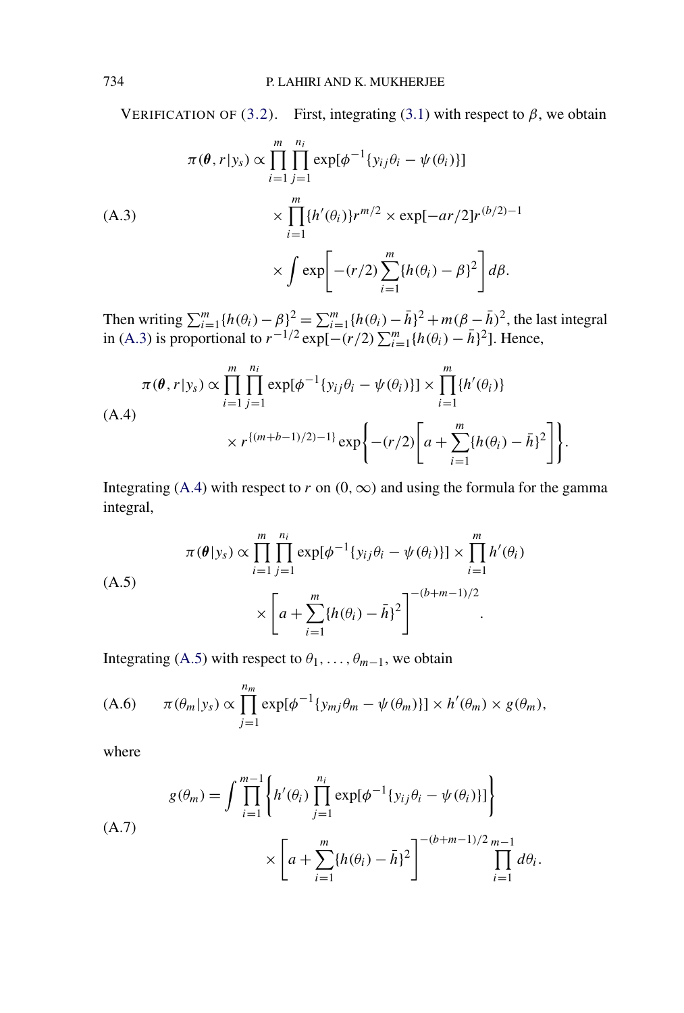<span id="page-10-0"></span>VERIFICATION OF [\(3.2\)](#page-4-0). First, integrating [\(3.1\)](#page-4-0) with respect to  $\beta$ , we obtain

$$
\pi(\theta, r | y_s) \propto \prod_{i=1}^m \prod_{j=1}^{n_i} \exp[\phi^{-1}\{y_{ij}\theta_i - \psi(\theta_i)\}]
$$
\n
$$
\times \prod_{i=1}^m \{h'(\theta_i)\} r^{m/2} \times \exp[-ar/2]r^{(b/2)-1}
$$
\n
$$
\times \int \exp\left[-(r/2)\sum_{i=1}^m \{h(\theta_i) - \beta\}^2\right] d\beta.
$$

Then writing  $\sum_{i=1}^{m} {h(\theta_i) - \beta}^2 = \sum_{i=1}^{m} {h(\theta_i) - \bar{h}}^2 + m(\beta - \bar{h})^2$ , the last integral in (A.3) is proportional to  $r^{-1/2} \exp[-(r/2)\sum_{i=1}^{m} \{h(\theta_i) - \bar{h}\}^2]$ . Hence,

$$
\pi(\theta, r | y_s) \propto \prod_{i=1}^{m} \prod_{j=1}^{n_i} \exp[\phi^{-1}\{y_{ij}\theta_i - \psi(\theta_i)\}] \times \prod_{i=1}^{m} \{h'(\theta_i)\} \times r^{\{(m+b-1)/2\}-1\} \exp\left\{ -(r/2) \left[a + \sum_{i=1}^{m} \{h(\theta_i) - \bar{h}\}^2\right]\right\}.
$$

Integrating (A.4) with respect to *r* on  $(0, \infty)$  and using the formula for the gamma integral,

$$
\pi(\theta|y_s) \propto \prod_{i=1}^m \prod_{j=1}^{n_i} \exp[\phi^{-1}\{y_{ij}\theta_i - \psi(\theta_i)\}] \times \prod_{i=1}^m h'(\theta_i)
$$
  

$$
\times \left[a + \sum_{i=1}^m \{h(\theta_i) - \bar{h}\}^2\right]^{-(b+m-1)/2}.
$$

Integrating (A.5) with respect to  $\theta_1, \ldots, \theta_{m-1}$ , we obtain

(A.6) 
$$
\pi(\theta_m|y_s) \propto \prod_{j=1}^{n_m} \exp[\phi^{-1}\{y_{mj}\theta_m - \psi(\theta_m)\}] \times h'(\theta_m) \times g(\theta_m),
$$

where

$$
g(\theta_m) = \int \prod_{i=1}^{m-1} \left\{ h'(\theta_i) \prod_{j=1}^{n_i} \exp[\phi^{-1} \{ y_{ij} \theta_i - \psi(\theta_i) \}] \right\}
$$
  
(A.7)  

$$
\times \left[ a + \sum_{i=1}^{m} \{ h(\theta_i) - \bar{h} \}^2 \right]^{-(b+m-1)/2} \prod_{i=1}^{m-1} d\theta_i.
$$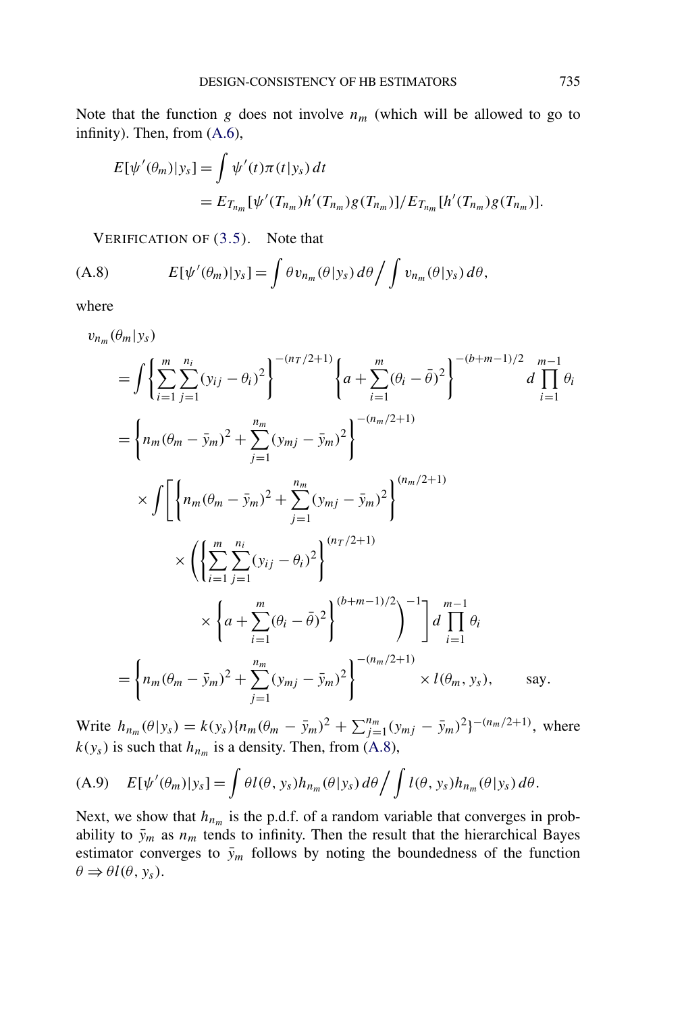Note that the function *g* does not involve  $n_m$  (which will be allowed to go to infinity). Then, from [\(A.6\)](#page-10-0),

$$
E[\psi'(\theta_m)|y_s] = \int \psi'(t)\pi(t|y_s) dt
$$
  
=  $E_{T_{n_m}}[\psi'(T_{n_m})h'(T_{n_m})g(T_{n_m})]/E_{T_{n_m}}[h'(T_{n_m})g(T_{n_m})].$ 

VERIFICATION OF [\(3.5\)](#page-5-0). Note that

(A.8) 
$$
E[\psi'(\theta_m)|y_s] = \int \theta v_{n_m}(\theta|y_s) d\theta / \int v_{n_m}(\theta|y_s) d\theta,
$$

where

$$
v_{n_m}(\theta_m | y_s)
$$
  
=  $\int \left\{ \sum_{i=1}^m \sum_{j=1}^{n_i} (y_{ij} - \theta_i)^2 \right\}^{-(n_T/2+1)} \left\{ a + \sum_{i=1}^m (\theta_i - \bar{\theta})^2 \right\}^{-(b+m-1)/2} d \prod_{i=1}^{m-1} \theta_i$   
=  $\left\{ n_m(\theta_m - \bar{y}_m)^2 + \sum_{j=1}^{n_m} (y_{mj} - \bar{y}_m)^2 \right\}^{-(n_m/2+1)}$   
 $\times \int \left[ \left\{ n_m(\theta_m - \bar{y}_m)^2 + \sum_{j=1}^{n_m} (y_{mj} - \bar{y}_m)^2 \right\}^{(n_m/2+1)}$   
 $\times \left( \left\{ \sum_{i=1}^m \sum_{j=1}^{n_i} (y_{ij} - \theta_i)^2 \right\}^{(n_T/2+1)} \right\}^{-(n_m/2+1)}$   
 $\times \left\{ a + \sum_{i=1}^m (\theta_i - \bar{\theta})^2 \right\}^{(b+m-1)/2} \left\}^{-1} d \prod_{i=1}^{m-1} \theta_i$   
=  $\left\{ n_m(\theta_m - \bar{y}_m)^2 + \sum_{j=1}^{n_m} (y_{mj} - \bar{y}_m)^2 \right\}^{-(n_m/2+1)} \times l(\theta_m, y_s), \text{ say.}$ 

Write  $h_{n_m}(\theta|y_s) = k(y_s)\{n_m(\theta_m - \bar{y}_m)^2 + \sum_{j=1}^{n_m} (y_{mj} - \bar{y}_m)^2\}^{-(n_m/2+1)}$ , where  $k(y_s)$  is such that  $h_{n_m}$  is a density. Then, from (A.8),

(A.9) 
$$
E[\psi'(\theta_m)|y_s] = \int \theta l(\theta, y_s) h_{n_m}(\theta | y_s) d\theta / \int l(\theta, y_s) h_{n_m}(\theta | y_s) d\theta.
$$

Next, we show that  $h_{n_m}$  is the p.d.f. of a random variable that converges in probability to  $\bar{y}_m$  as  $n_m$  tends to infinity. Then the result that the hierarchical Bayes estimator converges to  $\bar{y}_m$  follows by noting the boundedness of the function  $\theta \Rightarrow \theta l(\theta, y_s)$ .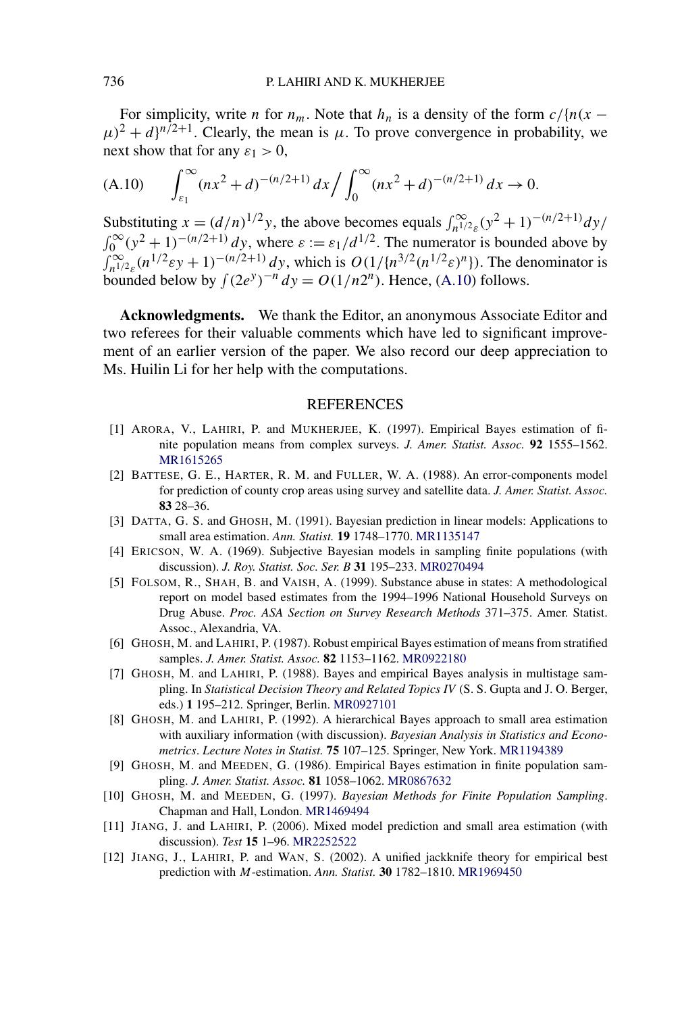<span id="page-12-0"></span>For simplicity, write *n* for  $n_m$ . Note that  $h_n$  is a density of the form  $c/(n(x \mu$ )<sup>2</sup> + *d*}<sup>*n*/2+1</sup>. Clearly, the mean is  $\mu$ . To prove convergence in probability, we next show that for any  $\varepsilon_1 > 0$ ,

(A.10) 
$$
\int_{\varepsilon_1}^{\infty} (nx^2 + d)^{-(n/2+1)} dx / \int_0^{\infty} (nx^2 + d)^{-(n/2+1)} dx \to 0.
$$

Substituting  $x = (d/n)^{1/2}y$ , the above becomes equals  $\int_{n^{1/2}\epsilon}^{\infty} (y^2 + 1)^{-(n/2+1)} dy$  $\int_0^\infty (y^2 + 1)^{-(n/2+1)} dy$ , where  $\varepsilon := \varepsilon_1/d^{1/2}$ . The numerator is bounded above by  $\int_{n^{1/2}\epsilon}^{\infty} (n^{1/2} \epsilon y + 1)^{-(n/2+1)} dy$ , which is  $O(1/\{n^{3/2}(n^{1/2}\epsilon)^n\})$ . The denominator is bounded below by  $\int (2e^y)^{-n} dy = O(1/n2^n)$ . Hence, (A.10) follows.

**Acknowledgments.** We thank the Editor, an anonymous Associate Editor and two referees for their valuable comments which have led to significant improvement of an earlier version of the paper. We also record our deep appreciation to Ms. Huilin Li for her help with the computations.

#### REFERENCES

- [1] ARORA, V., LAHIRI, P. and MUKHERJEE, K. (1997). Empirical Bayes estimation of finite population means from complex surveys. *J. Amer. Statist. Assoc.* **92** 1555–1562. [MR1615265](http://www.ams.org/mathscinet-getitem?mr=1615265)
- [2] BATTESE, G. E., HARTER, R. M. and FULLER, W. A. (1988). An error-components model for prediction of county crop areas using survey and satellite data. *J. Amer. Statist. Assoc.* **83** 28–36.
- [3] DATTA, G. S. and GHOSH, M. (1991). Bayesian prediction in linear models: Applications to small area estimation. *Ann. Statist.* **19** 1748–1770. [MR1135147](http://www.ams.org/mathscinet-getitem?mr=1135147)
- [4] ERICSON, W. A. (1969). Subjective Bayesian models in sampling finite populations (with discussion). *J. Roy. Statist. Soc. Ser. B* **31** 195–233. [MR0270494](http://www.ams.org/mathscinet-getitem?mr=0270494)
- [5] FOLSOM, R., SHAH, B. and VAISH, A. (1999). Substance abuse in states: A methodological report on model based estimates from the 1994–1996 National Household Surveys on Drug Abuse. *Proc. ASA Section on Survey Research Methods* 371–375. Amer. Statist. Assoc., Alexandria, VA.
- [6] GHOSH, M. and LAHIRI, P. (1987). Robust empirical Bayes estimation of means from stratified samples. *J. Amer. Statist. Assoc.* **82** 1153–1162. [MR0922180](http://www.ams.org/mathscinet-getitem?mr=0922180)
- [7] GHOSH, M. and LAHIRI, P. (1988). Bayes and empirical Bayes analysis in multistage sampling. In *Statistical Decision Theory and Related Topics IV* (S. S. Gupta and J. O. Berger, eds.) **1** 195–212. Springer, Berlin. [MR0927101](http://www.ams.org/mathscinet-getitem?mr=0927101)
- [8] GHOSH, M. and LAHIRI, P. (1992). A hierarchical Bayes approach to small area estimation with auxiliary information (with discussion). *Bayesian Analysis in Statistics and Econometrics*. *Lecture Notes in Statist.* **75** 107–125. Springer, New York. [MR1194389](http://www.ams.org/mathscinet-getitem?mr=1194389)
- [9] GHOSH, M. and MEEDEN, G. (1986). Empirical Bayes estimation in finite population sampling. *J. Amer. Statist. Assoc.* **81** 1058–1062. [MR0867632](http://www.ams.org/mathscinet-getitem?mr=0867632)
- [10] GHOSH, M. and MEEDEN, G. (1997). *Bayesian Methods for Finite Population Sampling*. Chapman and Hall, London. [MR1469494](http://www.ams.org/mathscinet-getitem?mr=1469494)
- [11] JIANG, J. and LAHIRI, P. (2006). Mixed model prediction and small area estimation (with discussion). *Test* **15** 1–96. [MR2252522](http://www.ams.org/mathscinet-getitem?mr=2252522)
- [12] JIANG, J., LAHIRI, P. and WAN, S. (2002). A unified jackknife theory for empirical best prediction with *M*-estimation. *Ann. Statist.* **30** 1782–1810. [MR1969450](http://www.ams.org/mathscinet-getitem?mr=1969450)